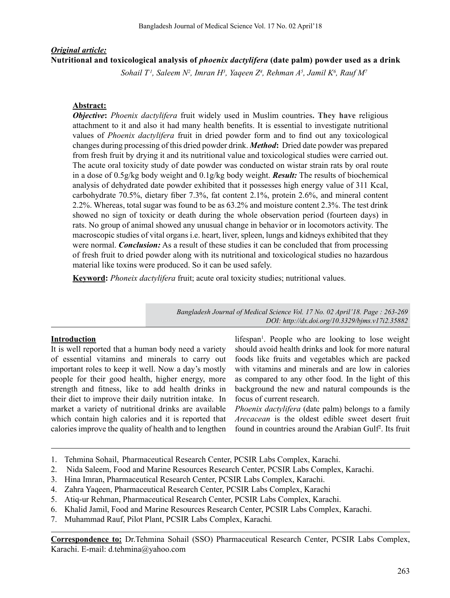# *Original article:* **Nutritional and toxicological analysis of** *phoenix dactylifera* **(date palm) powder used as a drink**

*Sohail T 1, Saleem N2 , Imran H3 , Yaqeen Z4 , Rehman A5 , Jamil K6 , Rauf M7*

## **Abstract:**

*Objective***:** *Phoenix dactylifera* fruit widely used in Muslim countries**. They have** religious attachment to it and also it had many health benefits. It is essential to investigate nutritional values of *Phoenix dactylifera* fruit in dried powder form and to find out any toxicological changes during processing of this dried powder drink. *Method***:** Dried date powder was prepared from fresh fruit by drying it and its nutritional value and toxicological studies were carried out. The acute oral toxicity study of date powder was conducted on wistar strain rats by oral route in a dose of 0.5g/kg body weight and 0.1g/kg body weight. *Result:* The results of biochemical analysis of dehydrated date powder exhibited that it possesses high energy value of 311 Kcal, carbohydrate 70.5%, dietary fiber 7.3%, fat content 2.1%, protein 2.6%, and mineral content 2.2%. Whereas, total sugar was found to be as 63.2% and moisture content 2.3%. The test drink showed no sign of toxicity or death during the whole observation period (fourteen days) in rats. No group of animal showed any unusual change in behavior or in locomotors activity. The macroscopic studies of vital organs i.e. heart, liver, spleen, lungs and kidneys exhibited that they were normal. *Conclusion:* As a result of these studies it can be concluded that from processing of fresh fruit to dried powder along with its nutritional and toxicological studies no hazardous material like toxins were produced. So it can be used safely.

**Keyword:** *Phoneix dactylifera* fruit; acute oral toxicity studies; nutritional values.

*Bangladesh Journal of Medical Science Vol. 17 No. 02 April'18. Page : 263-269 DOI: http://dx.doi.org/10.3329/bjms.v17i2.35882* 

## **Introduction**

It is well reported that a human body need a variety of essential vitamins and minerals to carry out important roles to keep it well. Now a day's mostly people for their good health, higher energy, more strength and fitness, like to add health drinks in their diet to improve their daily nutrition intake. In market a variety of nutritional drinks are available which contain high calories and it is reported that calories improve the quality of health and to lengthen

lifespan<sup>1</sup>. People who are looking to lose weight should avoid health drinks and look for more natural foods like fruits and vegetables which are packed with vitamins and minerals and are low in calories as compared to any other food. In the light of this background the new and natural compounds is the focus of current research.

*Phoenix dactylifera* (date palm) belongs to a family *Arecacean* is the oldest edible sweet desert fruit found in countries around the Arabian Gulf<sup>2</sup>. Its fruit

- 1. Tehmina Sohail, Pharmaceutical Research Center, PCSIR Labs Complex, Karachi.
- 2. Nida Saleem, Food and Marine Resources Research Center, PCSIR Labs Complex, Karachi.
- 3. Hina Imran, Pharmaceutical Research Center, PCSIR Labs Complex, Karachi.
- 4. Zahra Yaqeen, Pharmaceutical Research Center, PCSIR Labs Complex, Karachi
- 5. Atiq-ur Rehman, Pharmaceutical Research Center, PCSIR Labs Complex, Karachi.
- 6. Khalid Jamil, Food and Marine Resources Research Center, PCSIR Labs Complex, Karachi.
- 7. Muhammad Rauf, Pilot Plant, PCSIR Labs Complex, Karachi*.*

**Correspondence to:** Dr.Tehmina Sohail (SSO) Pharmaceutical Research Center, PCSIR Labs Complex, Karachi. E-mail: d.tehmina@yahoo.com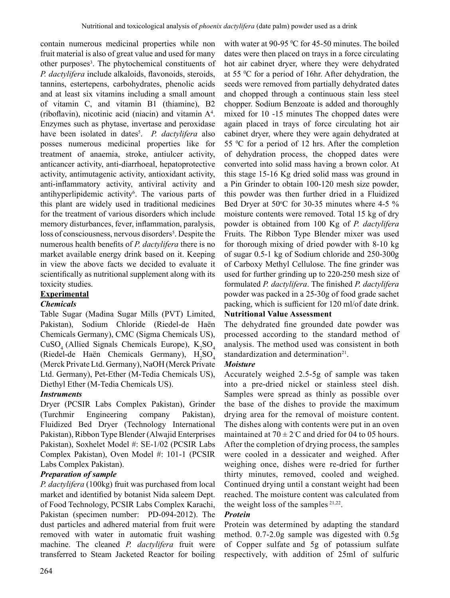contain numerous medicinal properties while non fruit material is also of great value and used for many other purposes<sup>3</sup>. The phytochemical constituents of *P. dactylifera* include alkaloids, flavonoids, steroids, tannins, estertepens, carbohydrates, phenolic acids and at least six vitamins including a small amount of vitamin C, and vitamin B1 (thiamine), B2 (riboflavin), nicotinic acid (niacin) and vitamin A4 . Enzymes such as phytase, invertase and peroxidase have been isolated in dates<sup>5</sup>. *P. dactylifera* also posses numerous medicinal properties like for treatment of anaemia, stroke, antiulcer activity, anticancer activity, anti-diarrhoeal, hepatoprotective activity, antimutagenic activity, antioxidant activity, anti-inflammatory activity, antiviral activity and antihyperlipidemic activity<sup>6</sup>. The various parts of this plant are widely used in traditional medicines for the treatment of various disorders which include memory disturbances, fever, inflammation, paralysis, loss of consciousness, nervous disorders<sup>5</sup>. Despite the numerous health benefits of *P. dactylifera* there is no market available energy drink based on it. Keeping in view the above facts we decided to evaluate it scientifically as nutritional supplement along with its toxicity studies.

## **Experimental**

## *Chemicals*

Table Sugar (Madina Sugar Mills (PVT) Limited, Pakistan), Sodium Chloride (Riedel-de Haën Chemicals Germany), CMC (Sigma Chemicals US),  $CuSO<sub>4</sub>$  (Allied Signals Chemicals Europe),  $K<sub>2</sub>SO<sub>4</sub>$ (Riedel-de Haën Chemicals Germany),  $H_2SO_4$ (Merck Private Ltd. Germany), NaOH (Merck Private Ltd. Germany), Pet-Ether (M-Tedia Chemicals US), Diethyl Ether (M-Tedia Chemicals US).

## *Instruments*

Dryer (PCSIR Labs Complex Pakistan), Grinder (Turchmir Engineering company Pakistan), Fluidized Bed Dryer (Technology International Pakistan), Ribbon Type Blender (Alwajid Enterprises Pakistan), Soxhelet Model #: SE-1/02 (PCSIR Labs Complex Pakistan), Oven Model #: 101-1 (PCSIR Labs Complex Pakistan).

#### *Preparation of sample*

*P. dactylifera* (100kg) fruit was purchased from local market and identified by botanist Nida saleem Dept. of Food Technology, PCSIR Labs Complex Karachi, Pakistan (specimen number: PD-094-2012). The dust particles and adhered material from fruit were removed with water in automatic fruit washing machine. The cleaned *P. dactylifera* fruit were transferred to Steam Jacketed Reactor for boiling

with water at 90-95  $\mathrm{^0C}$  for 45-50 minutes. The boiled dates were then placed on trays in a force circulating hot air cabinet dryer, where they were dehydrated at 55 0 C for a period of 16hr. After dehydration, the seeds were removed from partially dehydrated dates and chopped through a continuous stain less steel chopper. Sodium Benzoate is added and thoroughly mixed for 10 -15 minutes The chopped dates were again placed in trays of force circulating hot air cabinet dryer, where they were again dehydrated at 55 0 C for a period of 12 hrs. After the completion of dehydration process, the chopped dates were converted into solid mass having a brown color. At this stage 15-16 Kg dried solid mass was ground in a Pin Grinder to obtain 100-120 mesh size powder, this powder was then further dried in a Fluidized Bed Dryer at 50°C for 30-35 minutes where 4-5 % moisture contents were removed. Total 15 kg of dry powder is obtained from 100 Kg of *P. dactylifera* Fruits. The Ribbon Type Blender mixer was used for thorough mixing of dried powder with 8-10 kg of sugar 0.5-1 kg of Sodium chloride and 250-300g of Carboxy Methyl Cellulose. The fine grinder was used for further grinding up to 220-250 mesh size of formulated *P. dactylifera*. The finished *P. dactylifera* powder was packed in a 25-30g of food grade sachet packing, which is sufficient for 120 ml/of date drink.

#### **Nutritional Value Assessment**

The dehydrated fine grounded date powder was processed according to the standard method of analysis. The method used was consistent in both standardization and determination $21$ .

#### *Moisture*

Accurately weighed 2.5-5g of sample was taken into a pre-dried nickel or stainless steel dish. Samples were spread as thinly as possible over the base of the dishes to provide the maximum drying area for the removal of moisture content. The dishes along with contents were put in an oven maintained at  $70 \pm 2$ °C and dried for 04 to 05 hours. After the completion of drying process, the samples were cooled in a dessicater and weighed. After weighing once, dishes were re-dried for further thirty minutes, removed, cooled and weighed. Continued drying until a constant weight had been reached. The moisture content was calculated from the weight loss of the samples  $2^{1,22}$ .

## *Protein*

Protein was determined by adapting the standard method. 0.7-2.0g sample was digested with 0.5g of Copper sulfate and 5g of potassium sulfate respectively, with addition of 25ml of sulfuric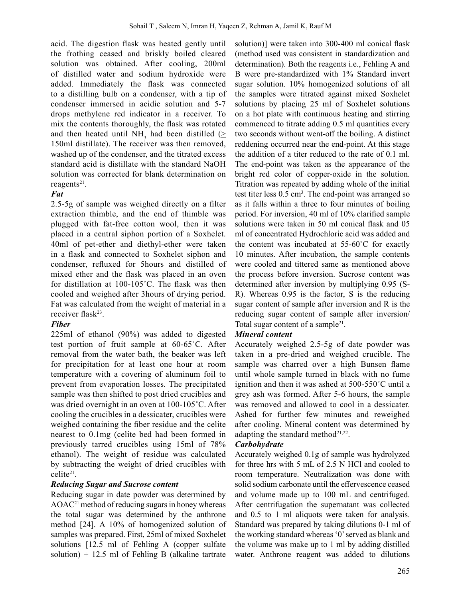acid. The digestion flask was heated gently until the frothing ceased and briskly boiled cleared solution was obtained. After cooling, 200ml of distilled water and sodium hydroxide were added. Immediately the flask was connected to a distilling bulb on a condenser, with a tip of condenser immersed in acidic solution and 5-7 drops methylene red indicator in a receiver. To mix the contents thoroughly, the flask was rotated and then heated until NH<sub>3</sub> had been distilled ( $\geq$ 150ml distillate). The receiver was then removed, washed up of the condenser, and the titrated excess standard acid is distillate with the standard NaOH solution was corrected for blank determination on reagents $21$ .

## *Fat*

2.5-5g of sample was weighed directly on a filter extraction thimble, and the end of thimble was plugged with fat-free cotton wool, then it was placed in a central siphon portion of a Soxhelet. 40ml of pet-ether and diethyl-ether were taken in a flask and connected to Soxhelet siphon and condenser, refluxed for 5hours and distilled of mixed ether and the flask was placed in an oven for distillation at 100-105˚C. The flask was then cooled and weighed after 3hours of drying period. Fat was calculated from the weight of material in a receiver flask<sup>23</sup>.

## *Fiber*

225ml of ethanol (90%) was added to digested test portion of fruit sample at 60-65˚C. After removal from the water bath, the beaker was left for precipitation for at least one hour at room temperature with a covering of aluminum foil to prevent from evaporation losses. The precipitated sample was then shifted to post dried crucibles and was dried overnight in an oven at 100-105˚C. After cooling the crucibles in a dessicater, crucibles were weighed containing the fiber residue and the celite nearest to 0.1mg (celite bed had been formed in previously tarred crucibles using 15ml of 78% ethanol). The weight of residue was calculated by subtracting the weight of dried crucibles with celite21.

#### *Reducing Sugar and Sucrose content*

Reducing sugar in date powder was determined by  $AOAC<sup>21</sup>$  method of reducing sugars in honey whereas the total sugar was determined by the anthrone method [24]. A 10% of homogenized solution of samples was prepared. First, 25ml of mixed Soxhelet solutions [12.5 ml of Fehling A (copper sulfate solution)  $+$  12.5 ml of Fehling B (alkaline tartrate

solution)] were taken into 300-400 ml conical flask (method used was consistent in standardization and determination). Both the reagents i.e., Fehling A and B were pre-standardized with 1% Standard invert sugar solution. 10% homogenized solutions of all the samples were titrated against mixed Soxhelet solutions by placing 25 ml of Soxhelet solutions on a hot plate with continuous heating and stirring commenced to titrate adding 0.5 ml quantities every two seconds without went-off the boiling. A distinct reddening occurred near the end-point. At this stage the addition of a titer reduced to the rate of 0.1 ml. The end-point was taken as the appearance of the bright red color of copper-oxide in the solution. Titration was repeated by adding whole of the initial test titer less 0.5 cm<sup>3</sup>. The end-point was arranged so as it falls within a three to four minutes of boiling period. For inversion, 40 ml of 10% clarified sample solutions were taken in 50 ml conical flask and 05 ml of concentrated Hydrochloric acid was added and the content was incubated at 55-60˚C for exactly 10 minutes. After incubation, the sample contents were cooled and tittered same as mentioned above the process before inversion. Sucrose content was determined after inversion by multiplying 0.95 (S-R). Whereas 0.95 is the factor, S is the reducing sugar content of sample after inversion and R is the reducing sugar content of sample after inversion/ Total sugar content of a sample<sup>21</sup>.

## *Mineral content*

Accurately weighed 2.5-5g of date powder was taken in a pre-dried and weighed crucible. The sample was charred over a high Bunsen flame until whole sample turned in black with no fume ignition and then it was ashed at 500-550˚C until a grey ash was formed. After 5-6 hours, the sample was removed and allowed to cool in a dessicater. Ashed for further few minutes and reweighed after cooling. Mineral content was determined by adapting the standard method<sup>21,22</sup>.

## *Carbohydrate*

Accurately weighed 0.1g of sample was hydrolyzed for three hrs with 5 mL of 2.5 N HCl and cooled to room temperature. Neutralization was done with solid sodium carbonate until the effervescence ceased and volume made up to 100 mL and centrifuged. After centrifugation the supernatant was collected and 0.5 to 1 ml aliquots were taken for analysis. Standard was prepared by taking dilutions 0-1 ml of the working standard whereas '0'served as blank and the volume was make up to 1 ml by adding distilled water. Anthrone reagent was added to dilutions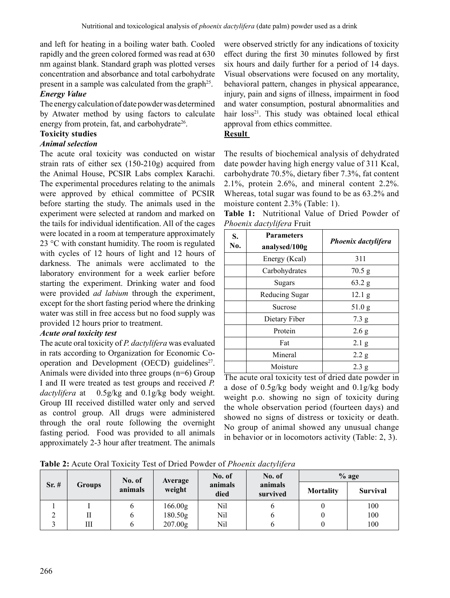and left for heating in a boiling water bath. Cooled rapidly and the green colored formed was read at 630 nm against blank. Standard graph was plotted verses concentration and absorbance and total carbohydrate present in a sample was calculated from the graph<sup>25</sup>.

## *Energy Value*

The energy calculation of date powder was determined by Atwater method by using factors to calculate energy from protein, fat, and carbohydrate $26$ .

# **Toxicity studies**

## *Animal selection*

The acute oral toxicity was conducted on wistar strain rats of either sex (150-210g) acquired from the Animal House, PCSIR Labs complex Karachi. The experimental procedures relating to the animals were approved by ethical committee of PCSIR before starting the study. The animals used in the experiment were selected at random and marked on the tails for individual identification. All of the cages were located in a room at temperature approximately 23 °C with constant humidity. The room is regulated with cycles of 12 hours of light and 12 hours of darkness. The animals were acclimated to the laboratory environment for a week earlier before starting the experiment. Drinking water and food were provided *ad labium* through the experiment, except for the short fasting period where the drinking water was still in free access but no food supply was provided 12 hours prior to treatment.

## *Acute oral toxicity test*

The acute oral toxicity of *P. dactylifera* was evaluated in rats according to Organization for Economic Cooperation and Development (OECD) guidelines $2^7$ . Animals were divided into three groups (n=6) Group I and II were treated as test groups and received *P. dactylifera* at 0.5g/kg and 0.1g/kg body weight. Group III received distilled water only and served as control group. All drugs were administered through the oral route following the overnight fasting period. Food was provided to all animals approximately 2-3 hour after treatment. The animals

were observed strictly for any indications of toxicity effect during the first 30 minutes followed by first six hours and daily further for a period of 14 days. Visual observations were focused on any mortality, behavioral pattern, changes in physical appearance, injury, pain and signs of illness, impairment in food and water consumption, postural abnormalities and hair loss<sup>21</sup>. This study was obtained local ethical approval from ethics committee.

### **Result**

The results of biochemical analysis of dehydrated date powder having high energy value of 311 Kcal, carbohydrate 70.5%, dietary fiber 7.3%, fat content 2.1%, protein 2.6%, and mineral content 2.2%. Whereas, total sugar was found to be as 63.2% and moisture content 2.3% (Table: 1).

**Table 1:** Nutritional Value of Dried Powder of *Phoenix dactylifera* Fruit

| S.<br>No. | <b>Parameters</b><br>analysed/100g | <b>Phoenix dactylifera</b> |  |  |
|-----------|------------------------------------|----------------------------|--|--|
|           | Energy (Kcal)                      | 311                        |  |  |
|           | Carbohydrates                      | 70.5 g                     |  |  |
|           | Sugars                             | $63.2$ g                   |  |  |
|           | Reducing Sugar                     | 12.1 <sub>g</sub>          |  |  |
|           | Sucrose                            | 51.0 g                     |  |  |
|           | Dietary Fiber                      | 7.3 g                      |  |  |
|           | Protein                            | 2.6 g                      |  |  |
|           | Fat                                | $2.1\text{ g}$             |  |  |
|           | Mineral                            | 2.2 g                      |  |  |
|           | Moisture                           | 2.3 g                      |  |  |

The acute oral toxicity test of dried date powder in a dose of 0.5g/kg body weight and 0.1g/kg body weight p.o. showing no sign of toxicity during the whole observation period (fourteen days) and showed no signs of distress or toxicity or death. No group of animal showed any unusual change in behavior or in locomotors activity (Table: 2, 3).

**Table 2:** Acute Oral Toxicity Test of Dried Powder of *Phoenix dactylifera*

| $Sr. \#$ | <b>Groups</b> | No. of<br>animals | Average<br>weight   | No. of          | No. of              | $%$ age          |                 |
|----------|---------------|-------------------|---------------------|-----------------|---------------------|------------------|-----------------|
|          |               |                   |                     | animals<br>died | animals<br>survived | <b>Mortality</b> | <b>Survival</b> |
|          |               |                   | 166.00 <sub>g</sub> | Nil             |                     |                  | 100             |
| ∠        | П             |                   | 180.50g             | Nil             |                     |                  | 100             |
|          | Ш             |                   | 207.00g             | Nil             |                     |                  | 100             |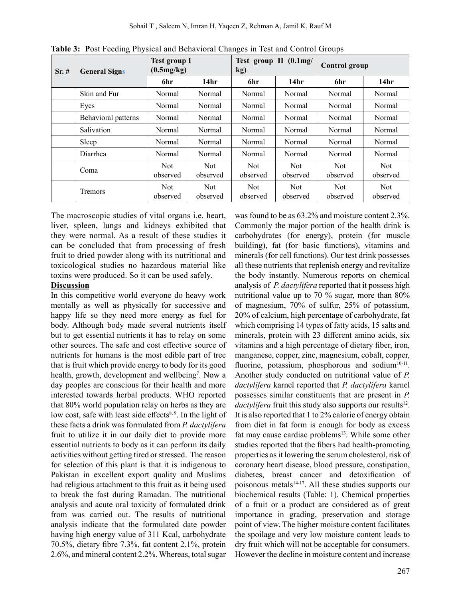| $Sr. \#$ | <b>General Signs</b> | <b>Test group I</b><br>(0.5mg/kg) |                        | o<br>Test group II (0.1mg/<br>kg) |                        | Control group          |                        |
|----------|----------------------|-----------------------------------|------------------------|-----------------------------------|------------------------|------------------------|------------------------|
|          |                      | 6hr                               | 14 <sub>hr</sub>       | 6hr                               | 14hr                   | 6hr                    | 14 <sub>hr</sub>       |
|          | Skin and Fur         | Normal                            | Normal                 | Normal                            | Normal                 | Normal                 | Normal                 |
|          | Eyes                 | Normal                            | Normal                 | Normal                            | Normal                 | Normal                 | Normal                 |
|          | Behavioral patterns  | Normal                            | Normal                 | Normal                            | Normal                 | Normal                 | Normal                 |
|          | Salivation           | Normal                            | Normal                 | Normal                            | Normal                 | Normal                 | Normal                 |
|          | Sleep                | Normal                            | Normal                 | Normal                            | Normal                 | Normal                 | Normal                 |
|          | Diarrhea             | Normal                            | Normal                 | Normal                            | Normal                 | Normal                 | Normal                 |
|          | Coma                 | <b>Not</b><br>observed            | <b>Not</b><br>observed | <b>Not</b><br>observed            | <b>Not</b><br>observed | <b>Not</b><br>observed | <b>Not</b><br>observed |
|          | Tremors              | Not<br>observed                   | Not<br>observed        | Not<br>observed                   | Not<br>observed        | Not<br>observed        | <b>Not</b><br>observed |

**Table 3: P**ost Feeding Physical and Behavioral Changes in Test and Control Groups

The macroscopic studies of vital organs i.e. heart, liver, spleen, lungs and kidneys exhibited that they were normal. As a result of these studies it can be concluded that from processing of fresh fruit to dried powder along with its nutritional and toxicological studies no hazardous material like toxins were produced. So it can be used safely.

#### **Discussion**

In this competitive world everyone do heavy work mentally as well as physically for successive and happy life so they need more energy as fuel for body. Although body made several nutrients itself but to get essential nutrients it has to relay on some other sources. The safe and cost effective source of nutrients for humans is the most edible part of tree that is fruit which provide energy to body for its good health, growth, development and wellbeing<sup>7</sup>. Now a day peoples are conscious for their health and more interested towards herbal products. WHO reported that 80% world population relay on herbs as they are low cost, safe with least side effects<sup>8, 9</sup>. In the light of these facts a drink was formulated from *P. dactylifera* fruit to utilize it in our daily diet to provide more essential nutrients to body as it can perform its daily activities without getting tired or stressed. The reason for selection of this plant is that it is indigenous to Pakistan in excellent export quality and Muslims had religious attachment to this fruit as it being used to break the fast during Ramadan. The nutritional analysis and acute oral toxicity of formulated drink from was carried out. The results of nutritional analysis indicate that the formulated date powder having high energy value of 311 Kcal, carbohydrate 70.5%, dietary fibre 7.3%, fat content 2.1%, protein 2.6%, and mineral content 2.2%. Whereas, total sugar

was found to be as 63.2% and moisture content 2.3%. Commonly the major portion of the health drink is carbohydrates (for energy), protein (for muscle building), fat (for basic functions), vitamins and minerals (for cell functions). Our test drink possesses all these nutrients that replenish energy and revitalize the body instantly. Numerous reports on chemical analysis of *P. dactylifera* reported that it possess high nutritional value up to 70 % sugar, more than 80% of magnesium, 70% of sulfur, 25% of potassium, 20% of calcium, high percentage of carbohydrate, fat which comprising 14 types of fatty acids, 15 salts and minerals, protein with 23 different amino acids, six vitamins and a high percentage of dietary fiber, iron, manganese, copper, zinc, magnesium, cobalt, copper, fluorine, potassium, phosphorous and sodium<sup>10-11</sup>. Another study conducted on nutritional value of *P. dactylifera* karnel reported that *P. dactylifera* karnel possesses similar constituents that are present in *P. dactylifera* fruit this study also supports our results<sup>12</sup>. It is also reported that 1 to 2% calorie of energy obtain from diet in fat form is enough for body as excess fat may cause cardiac problems<sup>13</sup>. While some other studies reported that the fibers had health-promoting properties as it lowering the serum cholesterol, risk of coronary heart disease, blood pressure, constipation, diabetes, breast cancer and detoxification of poisonous metals<sup>14-17</sup>. All these studies supports our biochemical results (Table: 1). Chemical properties of a fruit or a product are considered as of great importance in grading, preservation and storage point of view. The higher moisture content facilitates the spoilage and very low moisture content leads to dry fruit which will not be acceptable for consumers. However the decline in moisture content and increase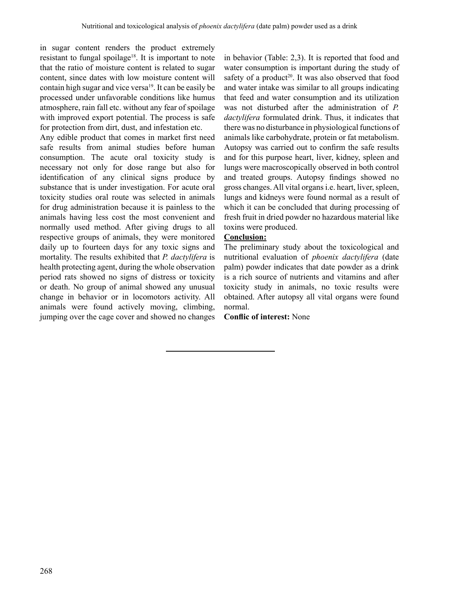in sugar content renders the product extremely resistant to fungal spoilage<sup>18</sup>. It is important to note that the ratio of moisture content is related to sugar content, since dates with low moisture content will contain high sugar and vice versa<sup>19</sup>. It can be easily be processed under unfavorable conditions like humus atmosphere, rain fall etc. without any fear of spoilage with improved export potential. The process is safe for protection from dirt, dust, and infestation etc.

Any edible product that comes in market first need safe results from animal studies before human consumption. The acute oral toxicity study is necessary not only for dose range but also for identification of any clinical signs produce by substance that is under investigation. For acute oral toxicity studies oral route was selected in animals for drug administration because it is painless to the animals having less cost the most convenient and normally used method. After giving drugs to all respective groups of animals, they were monitored daily up to fourteen days for any toxic signs and mortality. The results exhibited that *P. dactylifera* is health protecting agent, during the whole observation period rats showed no signs of distress or toxicity or death. No group of animal showed any unusual change in behavior or in locomotors activity. All animals were found actively moving, climbing, jumping over the cage cover and showed no changes

in behavior (Table: 2,3). It is reported that food and water consumption is important during the study of safety of a product<sup>20</sup>. It was also observed that food and water intake was similar to all groups indicating that feed and water consumption and its utilization was not disturbed after the administration of *P. dactylifera* formulated drink. Thus, it indicates that there was no disturbance in physiological functions of animals like carbohydrate, protein or fat metabolism. Autopsy was carried out to confirm the safe results and for this purpose heart, liver, kidney, spleen and lungs were macroscopically observed in both control and treated groups. Autopsy findings showed no gross changes. All vital organs i.e. heart, liver, spleen, lungs and kidneys were found normal as a result of which it can be concluded that during processing of fresh fruit in dried powder no hazardous material like toxins were produced.

#### **Conclusion:**

The preliminary study about the toxicological and nutritional evaluation of *phoenix dactylifera* (date palm) powder indicates that date powder as a drink is a rich source of nutrients and vitamins and after toxicity study in animals, no toxic results were obtained. After autopsy all vital organs were found normal.

**Conflic of interest:** None